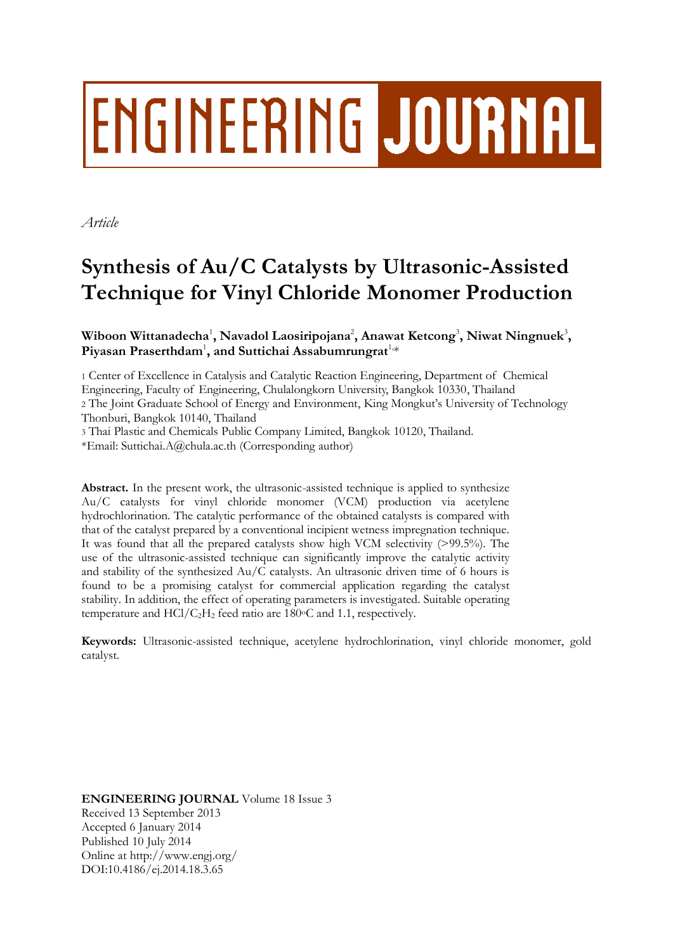# ENGINEERING JOURNAL

*Article*

# **Synthesis of Au/C Catalysts by Ultrasonic-Assisted Technique for Vinyl Chloride Monomer Production**

Wiboon Wittanadecha<sup>1</sup>, Navadol Laosiripojana<sup>2</sup>, Anawat Ketcong<sup>3</sup>, Niwat Ningnuek<sup>3</sup>, Piyasan Praserthdam<sup>1</sup>, and Suttichai Assabumrungrat<sup>1,\*</sup>

1 Center of Excellence in Catalysis and Catalytic Reaction Engineering, Department of Chemical Engineering, Faculty of Engineering, Chulalongkorn University, Bangkok 10330, Thailand 2 The Joint Graduate School of Energy and Environment, King Mongkut's University of Technology Thonburi, Bangkok 10140, Thailand 3 Thai Plastic and Chemicals Public Company Limited, Bangkok 10120, Thailand.

\*Email: Suttichai.A@chula.ac.th (Corresponding author)

Abstract. In the present work, the ultrasonic-assisted technique is applied to synthesize Au/C catalysts for vinyl chloride monomer (VCM) production via acetylene hydrochlorination. The catalytic performance of the obtained catalysts is compared with that of the catalyst prepared by a conventional incipient wetness impregnation technique. It was found that all the prepared catalysts show high VCM selectivity (>99.5%). The use of the ultrasonic-assisted technique can significantly improve the catalytic activity and stability of the synthesized Au/C catalysts. An ultrasonic driven time of 6 hours is found to be a promising catalyst for commercial application regarding the catalyst stability. In addition, the effect of operating parameters is investigated. Suitable operating temperature and  $HC1/C<sub>2</sub>H<sub>2</sub>$  feed ratio are 180 $\degree$ C and 1.1, respectively.

**Keywords:** Ultrasonic-assisted technique, acetylene hydrochlorination, vinyl chloride monomer, gold catalyst.

**ENGINEERING JOURNAL** Volume 18 Issue 3 Received 13 September 2013 Accepted 6 January 2014 Published 10 July 2014 Online at http://www.engj.org/ DOI:10.4186/ej.2014.18.3.65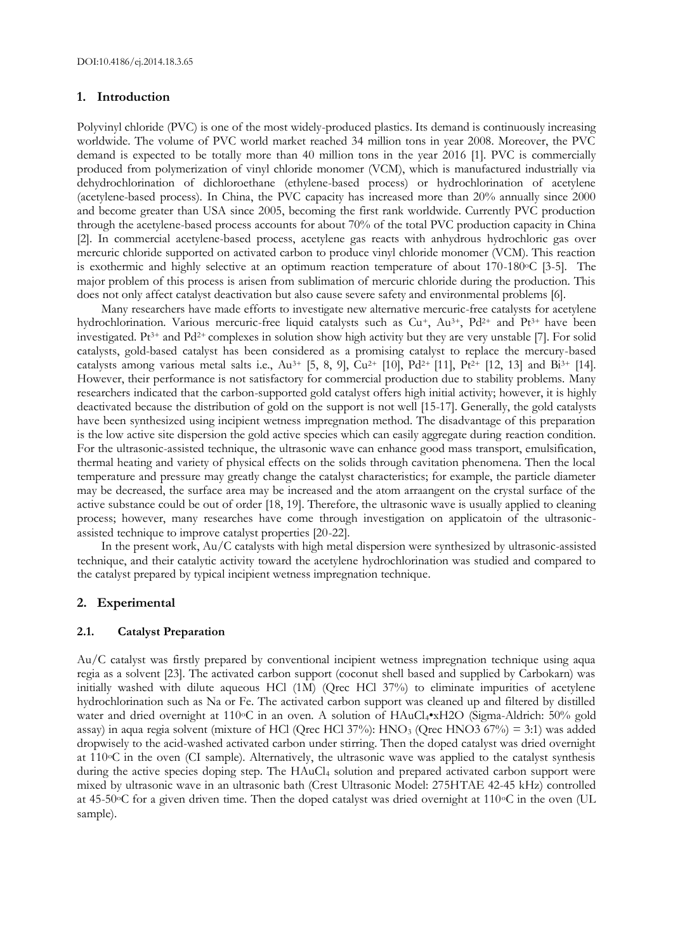#### **1. Introduction**

Polyvinyl chloride (PVC) is one of the most widely-produced plastics. Its demand is continuously increasing worldwide. The volume of PVC world market reached 34 million tons in year 2008. Moreover, the PVC demand is expected to be totally more than 40 million tons in the year 2016 [1]. PVC is commercially produced from polymerization of vinyl chloride monomer (VCM), which is manufactured industrially via dehydrochlorination of dichloroethane (ethylene-based process) or hydrochlorination of acetylene (acetylene-based process). In China, the PVC capacity has increased more than 20% annually since 2000 and become greater than USA since 2005, becoming the first rank worldwide. Currently PVC production through the acetylene-based process accounts for about 70% of the total PVC production capacity in China [2]. In commercial acetylene-based process, acetylene gas reacts with anhydrous hydrochloric gas over mercuric chloride supported on activated carbon to produce vinyl chloride monomer (VCM). This reaction is exothermic and highly selective at an optimum reaction temperature of about 170-180oC [3-5]. The major problem of this process is arisen from sublimation of mercuric chloride during the production. This does not only affect catalyst deactivation but also cause severe safety and environmental problems [6].

Many researchers have made efforts to investigate new alternative mercuric-free catalysts for acetylene hydrochlorination. Various mercuric-free liquid catalysts such as Cu+, Au3+, Pd2+ and Pt3+ have been investigated. Pt3+ and Pd2+ complexes in solution show high activity but they are very unstable [7]. For solid catalysts, gold-based catalyst has been considered as a promising catalyst to replace the mercury-based catalysts among various metal salts i.e.,  $Au^{3+}$  [5, 8, 9],  $Cu^{2+}$  [10],  $Pd^{2+}$  [11],  $Pt^{2+}$  [12, 13] and  $Bi^{3+}$  [14]. However, their performance is not satisfactory for commercial production due to stability problems. Many researchers indicated that the carbon-supported gold catalyst offers high initial activity; however, it is highly deactivated because the distribution of gold on the support is not well [15-17]. Generally, the gold catalysts have been synthesized using incipient wetness impregnation method. The disadvantage of this preparation is the low active site dispersion the gold active species which can easily aggregate during reaction condition. For the ultrasonic-assisted technique, the ultrasonic wave can enhance good mass transport, emulsification, thermal heating and variety of physical effects on the solids through cavitation phenomena. Then the local temperature and pressure may greatly change the catalyst characteristics; for example, the particle diameter may be decreased, the surface area may be increased and the atom arraangent on the crystal surface of the active substance could be out of order [18, 19]. Therefore, the ultrasonic wave is usually applied to cleaning process; however, many researches have come through investigation on applicatoin of the ultrasonicassisted technique to improve catalyst properties [20-22].

In the present work, Au/C catalysts with high metal dispersion were synthesized by ultrasonic-assisted technique, and their catalytic activity toward the acetylene hydrochlorination was studied and compared to the catalyst prepared by typical incipient wetness impregnation technique.

# **2. Experimental**

# **2.1. Catalyst Preparation**

Au/C catalyst was firstly prepared by conventional incipient wetness impregnation technique using aqua regia as a solvent [23]. The activated carbon support (coconut shell based and supplied by Carbokarn) was initially washed with dilute aqueous HCl (1M) (Qrec HCl 37%) to eliminate impurities of acetylene hydrochlorination such as Na or Fe. The activated carbon support was cleaned up and filtered by distilled water and dried overnight at 110°C in an oven. A solution of HAuCl<sub>4</sub>•xH2O (Sigma-Aldrich: 50% gold assay) in aqua regia solvent (mixture of HCl (Qrec HCl 37%): HNO<sup>3</sup> (Qrec HNO3 67%) = 3:1) was added dropwisely to the acid-washed activated carbon under stirring. Then the doped catalyst was dried overnight at  $110\degree$ C in the oven (CI sample). Alternatively, the ultrasonic wave was applied to the catalyst synthesis during the active species doping step. The HAuCl<sub>4</sub> solution and prepared activated carbon support were mixed by ultrasonic wave in an ultrasonic bath (Crest Ultrasonic Model: 275HTAE 42-45 kHz) controlled at 45-50oC for a given driven time. Then the doped catalyst was dried overnight at 110oC in the oven (UL sample).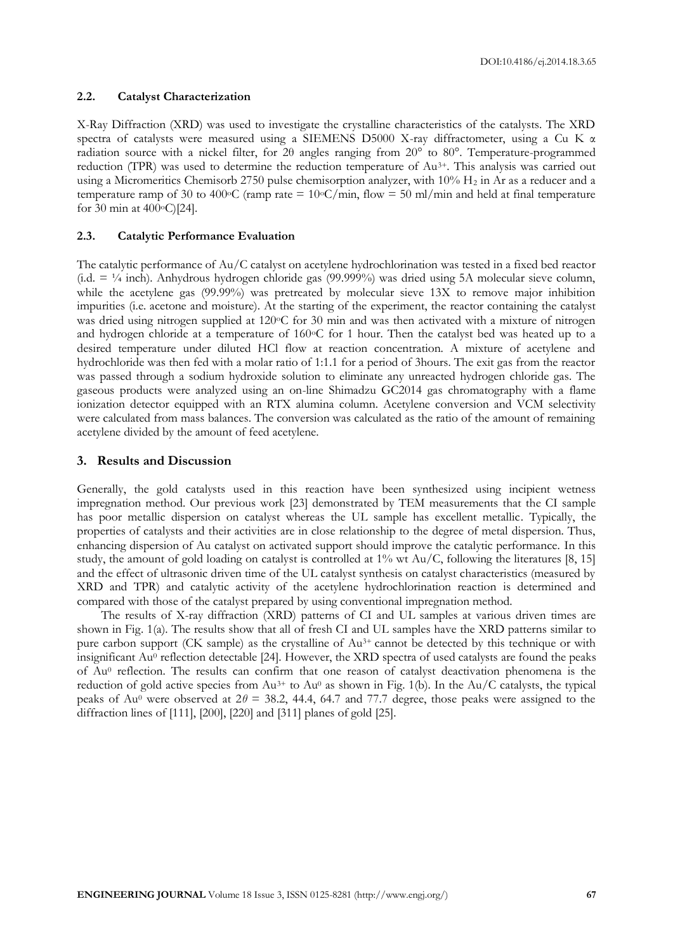DOI:10.4186/ej.2014.18.3.65

# **2.2. Catalyst Characterization**

X-Ray Diffraction (XRD) was used to investigate the crystalline characteristics of the catalysts. The XRD spectra of catalysts were measured using a SIEMENS D5000 X-ray diffractometer, using a Cu K α radiation source with a nickel filter, for 2θ angles ranging from 20° to 80°. Temperature-programmed reduction (TPR) was used to determine the reduction temperature of Au3+. This analysis was carried out using a Micromeritics Chemisorb 2750 pulse chemisorption analyzer, with 10% H<sub>2</sub> in Ar as a reducer and a temperature ramp of 30 to 400 °C (ramp rate =  $10$ °C/min, flow = 50 ml/min and held at final temperature for 30 min at  $400^{\circ}$ C)[24].

# **2.3. Catalytic Performance Evaluation**

The catalytic performance of Au/C catalyst on acetylene hydrochlorination was tested in a fixed bed reactor (i.d.  $= \frac{1}{4}$  inch). Anhydrous hydrogen chloride gas (99.999%) was dried using 5A molecular sieve column, while the acetylene gas (99.99%) was pretreated by molecular sieve 13X to remove major inhibition impurities (i.e. acetone and moisture). At the starting of the experiment, the reactor containing the catalyst was dried using nitrogen supplied at 120 °C for 30 min and was then activated with a mixture of nitrogen and hydrogen chloride at a temperature of 160°C for 1 hour. Then the catalyst bed was heated up to a desired temperature under diluted HCl flow at reaction concentration. A mixture of acetylene and hydrochloride was then fed with a molar ratio of 1:1.1 for a period of 3hours. The exit gas from the reactor was passed through a sodium hydroxide solution to eliminate any unreacted hydrogen chloride gas. The gaseous products were analyzed using an on-line Shimadzu GC2014 gas chromatography with a flame ionization detector equipped with an RTX alumina column. Acetylene conversion and VCM selectivity were calculated from mass balances. The conversion was calculated as the ratio of the amount of remaining acetylene divided by the amount of feed acetylene.

# **3. Results and Discussion**

Generally, the gold catalysts used in this reaction have been synthesized using incipient wetness impregnation method. Our previous work [23] demonstrated by TEM measurements that the CI sample has poor metallic dispersion on catalyst whereas the UL sample has excellent metallic. Typically, the properties of catalysts and their activities are in close relationship to the degree of metal dispersion. Thus, enhancing dispersion of Au catalyst on activated support should improve the catalytic performance. In this study, the amount of gold loading on catalyst is controlled at  $1\%$  wt Au/C, following the literatures [8, 15] and the effect of ultrasonic driven time of the UL catalyst synthesis on catalyst characteristics (measured by XRD and TPR) and catalytic activity of the acetylene hydrochlorination reaction is determined and compared with those of the catalyst prepared by using conventional impregnation method.

The results of X-ray diffraction (XRD) patterns of CI and UL samples at various driven times are shown in Fig. 1(a). The results show that all of fresh CI and UL samples have the XRD patterns similar to pure carbon support (CK sample) as the crystalline of Au<sup>3+</sup> cannot be detected by this technique or with insignificant Au<sup>0</sup> reflection detectable [24]. However, the XRD spectra of used catalysts are found the peaks of Au<sup>0</sup> reflection. The results can confirm that one reason of catalyst deactivation phenomena is the reduction of gold active species from  $Au^{3+}$  to  $Au^{0}$  as shown in Fig. 1(b). In the Au/C catalysts, the typical peaks of Au<sup>0</sup> were observed at  $2\theta = 38.2$ , 44.4, 64.7 and 77.7 degree, those peaks were assigned to the diffraction lines of [111], [200], [220] and [311] planes of gold [25].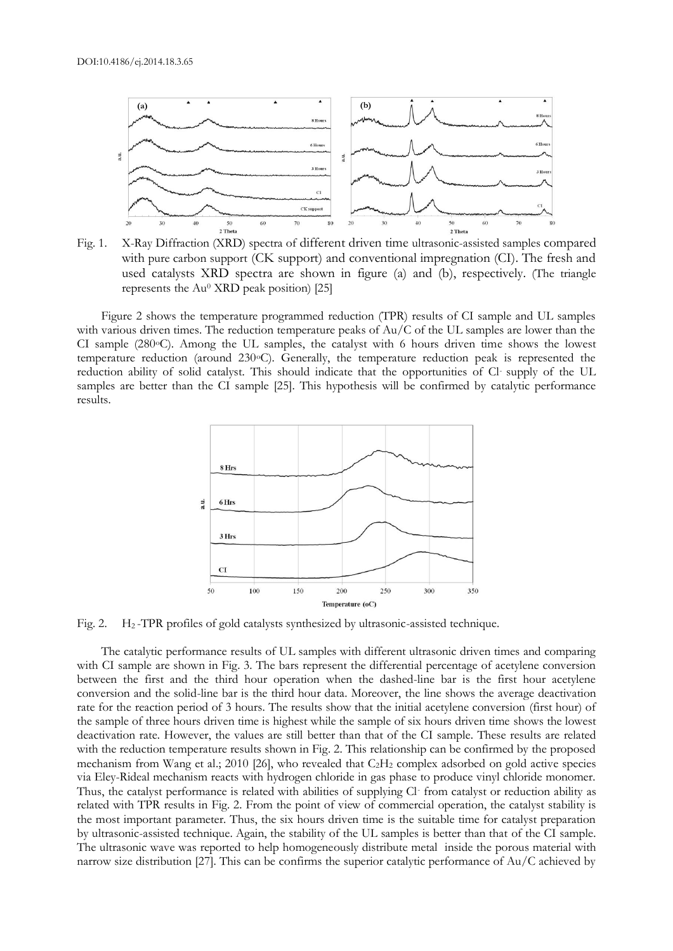

Fig. 1. X-Ray Diffraction (XRD) spectra of different driven time ultrasonic-assisted samples compared with pure carbon support (CK support) and conventional impregnation (CI). The fresh and used catalysts XRD spectra are shown in figure (a) and (b), respectively. (The triangle represents the  $Au^0$  XRD peak position) [25]

Figure 2 shows the temperature programmed reduction (TPR) results of CI sample and UL samples with various driven times. The reduction temperature peaks of Au/C of the UL samples are lower than the CI sample (280°C). Among the UL samples, the catalyst with 6 hours driven time shows the lowest temperature reduction (around 230oC). Generally, the temperature reduction peak is represented the reduction ability of solid catalyst. This should indicate that the opportunities of Cl- supply of the UL samples are better than the CI sample [25]. This hypothesis will be confirmed by catalytic performance results.



Fig. 2. H<sub>2</sub>-TPR profiles of gold catalysts synthesized by ultrasonic-assisted technique.

The catalytic performance results of UL samples with different ultrasonic driven times and comparing with CI sample are shown in Fig. 3. The bars represent the differential percentage of acetylene conversion between the first and the third hour operation when the dashed-line bar is the first hour acetylene conversion and the solid-line bar is the third hour data. Moreover, the line shows the average deactivation rate for the reaction period of 3 hours. The results show that the initial acetylene conversion (first hour) of the sample of three hours driven time is highest while the sample of six hours driven time shows the lowest deactivation rate. However, the values are still better than that of the CI sample. These results are related with the reduction temperature results shown in Fig. 2. This relationship can be confirmed by the proposed mechanism from Wang et al.; 2010 [26], who revealed that C2H<sup>2</sup> complex adsorbed on gold active species via Eley-Rideal mechanism reacts with hydrogen chloride in gas phase to produce vinyl chloride monomer. Thus, the catalyst performance is related with abilities of supplying Cl- from catalyst or reduction ability as related with TPR results in Fig. 2. From the point of view of commercial operation, the catalyst stability is the most important parameter. Thus, the six hours driven time is the suitable time for catalyst preparation by ultrasonic-assisted technique. Again, the stability of the UL samples is better than that of the CI sample. The ultrasonic wave was reported to help homogeneously distribute metal inside the porous material with narrow size distribution [27]. This can be confirms the superior catalytic performance of Au/C achieved by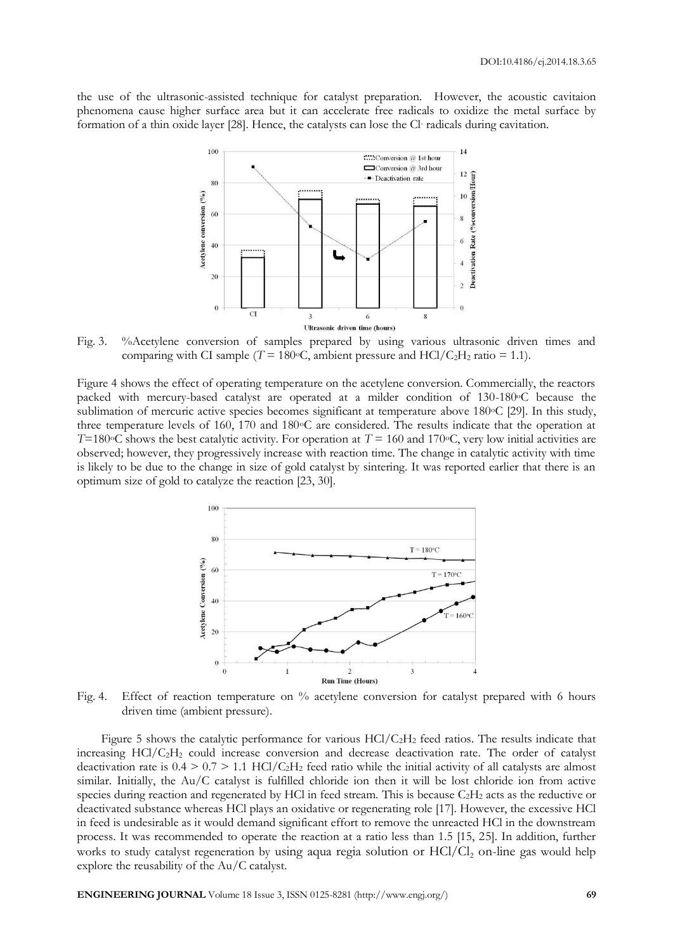the use of the ultrasonic-assisted technique for catalyst preparation. However, the acoustic cavitaion phenomena cause higher surface area but it can accelerate free radicals to oxidize the metal surface by formation of a thin oxide layer [28]. Hence, the catalysts can lose the Cl- radicals during cavitation.



Fig. 3. %Acetylene conversion of samples prepared by using various ultrasonic driven times and comparing with CI sample ( $T = 180$ °C, ambient pressure and HCl/C<sub>2</sub>H<sub>2</sub> ratio = 1.1).

Figure 4 shows the effect of operating temperature on the acetylene conversion. Commercially, the reactors packed with mercury-based catalyst are operated at a milder condition of 130-180oC because the sublimation of mercuric active species becomes significant at temperature above 180 °C [29]. In this study, three temperature levels of 160, 170 and 180°C are considered. The results indicate that the operation at *T*=180 $\degree$ C shows the best catalytic activity. For operation at *T* = 160 and 170 $\degree$ C, very low initial activities are observed; however, they progressively increase with reaction time. The change in catalytic activity with time is likely to be due to the change in size of gold catalyst by sintering. It was reported earlier that there is an optimum size of gold to catalyze the reaction [23, 30].



Fig. 4. Effect of reaction temperature on % acetylene conversion for catalyst prepared with 6 hours driven time (ambient pressure).

Figure 5 shows the catalytic performance for various  $HCl/C<sub>2</sub>H<sub>2</sub>$  feed ratios. The results indicate that increasing HCl/C2H<sup>2</sup> could increase conversion and decrease deactivation rate. The order of catalyst deactivation rate is  $0.4 > 0.7 > 1.1$  HCl/C<sub>2</sub>H<sub>2</sub> feed ratio while the initial activity of all catalysts are almost similar. Initially, the Au/C catalyst is fulfilled chloride ion then it will be lost chloride ion from active species during reaction and regenerated by HCl in feed stream. This is because  $C_2H_2$  acts as the reductive or deactivated substance whereas HCl plays an oxidative or regenerating role [17]. However, the excessive HCl in feed is undesirable as it would demand significant effort to remove the unreacted HCl in the downstream process. It was recommended to operate the reaction at a ratio less than 1.5 [15, 25]. In addition, further works to study catalyst regeneration by using aqua regia solution or  $HC1/C1$ , on-line gas would help explore the reusability of the Au/C catalyst.

**ENGINEERING JOURNAL** Volume 18 Issue 3, ISSN 0125-8281 (http://www.engj.org/) **69**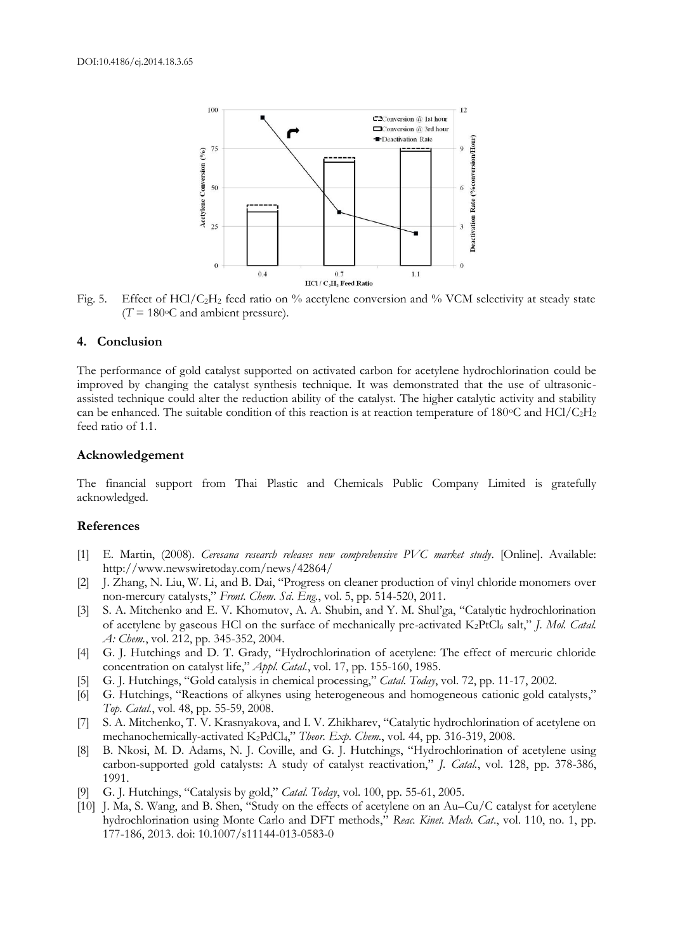

Fig. 5. Effect of HCl/C<sub>2</sub>H<sub>2</sub> feed ratio on % acetylene conversion and % VCM selectivity at steady state  $(T = 180$ <sup>o</sup>C and ambient pressure).

# **4. Conclusion**

The performance of gold catalyst supported on activated carbon for acetylene hydrochlorination could be improved by changing the catalyst synthesis technique. It was demonstrated that the use of ultrasonicassisted technique could alter the reduction ability of the catalyst. The higher catalytic activity and stability can be enhanced. The suitable condition of this reaction is at reaction temperature of 180 $\degree$ C and HCl/C<sub>2</sub>H<sub>2</sub> feed ratio of 1.1.

## **Acknowledgement**

The financial support from Thai Plastic and Chemicals Public Company Limited is gratefully acknowledged.

# **References**

- [1] E. Martin, (2008). *Ceresana research releases new comprehensive PVC market study*. [Online]. Available: http://www.newswiretoday.com/news/42864/
- [2] J. Zhang, N. Liu, W. Li, and B. Dai, "Progress on cleaner production of vinyl chloride monomers over non-mercury catalysts," *Front. Chem. Sci. Eng.*, vol. 5, pp. 514-520, 2011.
- [3] S. A. Mitchenko and E. V. Khomutov, A. A. Shubin, and Y. M. Shul'ga, "Catalytic hydrochlorination of acetylene by gaseous HCl on the surface of mechanically pre-activated K<sub>2</sub>PtCl<sub>6</sub> salt," *J. Mol. Catal. A: Chem.*, vol. 212, pp. 345-352, 2004.
- [4] G. J. Hutchings and D. T. Grady, "Hydrochlorination of acetylene: The effect of mercuric chloride concentration on catalyst life," *Appl. Catal.*, vol. 17, pp. 155-160, 1985.
- [5] G. J. Hutchings, "Gold catalysis in chemical processing," *Catal. Today*, vol. 72, pp. 11-17, 2002.
- [6] G. Hutchings, "Reactions of alkynes using heterogeneous and homogeneous cationic gold catalysts," *Top. Catal.*, vol. 48, pp. 55-59, 2008.
- [7] S. A. Mitchenko, T. V. Krasnyakova, and I. V. Zhikharev, "Catalytic hydrochlorination of acetylene on mechanochemically-activated K<sub>2</sub>PdCl<sub>4</sub>," *Theor. Exp. Chem.*, vol. 44, pp. 316-319, 2008.
- [8] B. Nkosi, M. D. Adams, N. J. Coville, and G. J. Hutchings, "Hydrochlorination of acetylene using carbon-supported gold catalysts: A study of catalyst reactivation," *J. Catal.*, vol. 128, pp. 378-386, 1991.
- [9] G. J. Hutchings, "Catalysis by gold," *Catal. Today*, vol. 100, pp. 55-61, 2005.
- [10] J. Ma, S. Wang, and B. Shen, "Study on the effects of acetylene on an Au–Cu/C catalyst for acetylene hydrochlorination using Monte Carlo and DFT methods," *Reac. Kinet. Mech. Cat*., vol. 110, no. 1, pp. 177-186, 2013. doi: 10.1007/s11144-013-0583-0